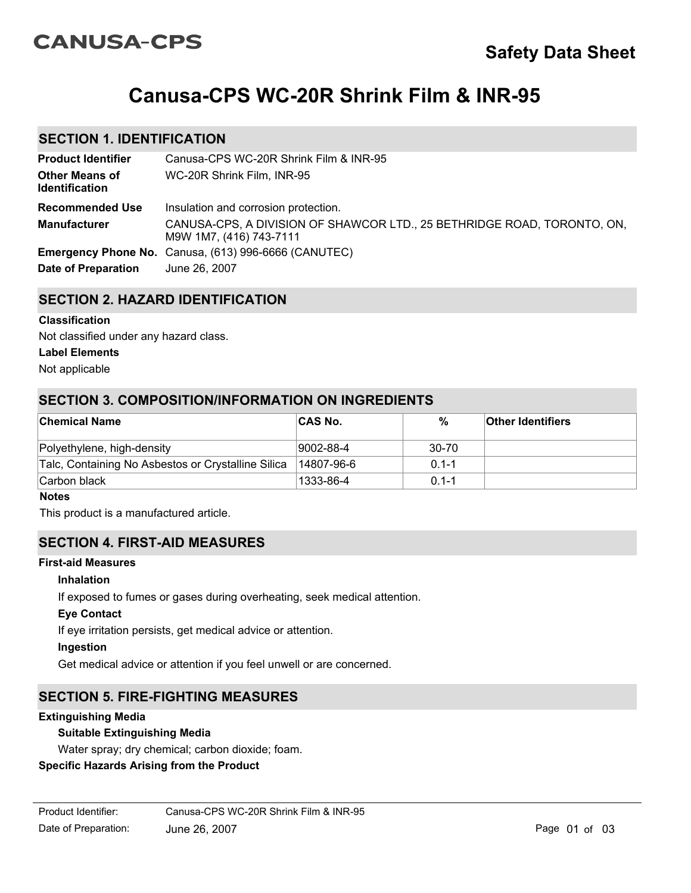# **CANUSA-CPS**

# **Canusa-CPS WC-20R Shrink Film & INR-95**

# **SECTION 1. IDENTIFICATION**

| <b>Product Identifier</b>                      | Canusa-CPS WC-20R Shrink Film & INR-95                                                             |
|------------------------------------------------|----------------------------------------------------------------------------------------------------|
| <b>Other Means of</b><br><b>Identification</b> | WC-20R Shrink Film, INR-95                                                                         |
| <b>Recommended Use</b>                         | Insulation and corrosion protection.                                                               |
| <b>Manufacturer</b>                            | CANUSA-CPS, A DIVISION OF SHAWCOR LTD., 25 BETHRIDGE ROAD, TORONTO, ON,<br>M9W 1M7, (416) 743-7111 |
|                                                | Emergency Phone No. Canusa, (613) 996-6666 (CANUTEC)                                               |
| Date of Preparation                            | June 26, 2007                                                                                      |

# **SECTION 2. HAZARD IDENTIFICATION**

#### **Classification**

Not classified under any hazard class.

#### **Label Elements**

Not applicable

# **SECTION 3. COMPOSITION/INFORMATION ON INGREDIENTS**

| <b>Chemical Name</b>                               | <b>CAS No.</b> | %         | <b>Other Identifiers</b> |
|----------------------------------------------------|----------------|-----------|--------------------------|
| Polyethylene, high-density                         | 9002-88-4      | 30-70     |                          |
| Talc, Containing No Asbestos or Crystalline Silica | 14807-96-6     | $0.1 - 1$ |                          |
| Carbon black                                       | 1333-86-4      | $0.1 - 1$ |                          |

#### **Notes**

This product is a manufactured article.

## **SECTION 4. FIRST-AID MEASURES**

#### **First-aid Measures**

### **Inhalation**

If exposed to fumes or gases during overheating, seek medical attention.

#### **Eye Contact**

If eye irritation persists, get medical advice or attention.

#### **Ingestion**

Get medical advice or attention if you feel unwell or are concerned.

# **SECTION 5. FIRE-FIGHTING MEASURES**

#### **Extinguishing Media**

## **Suitable Extinguishing Media**

Water spray; dry chemical; carbon dioxide; foam.

## **Specific Hazards Arising from the Product**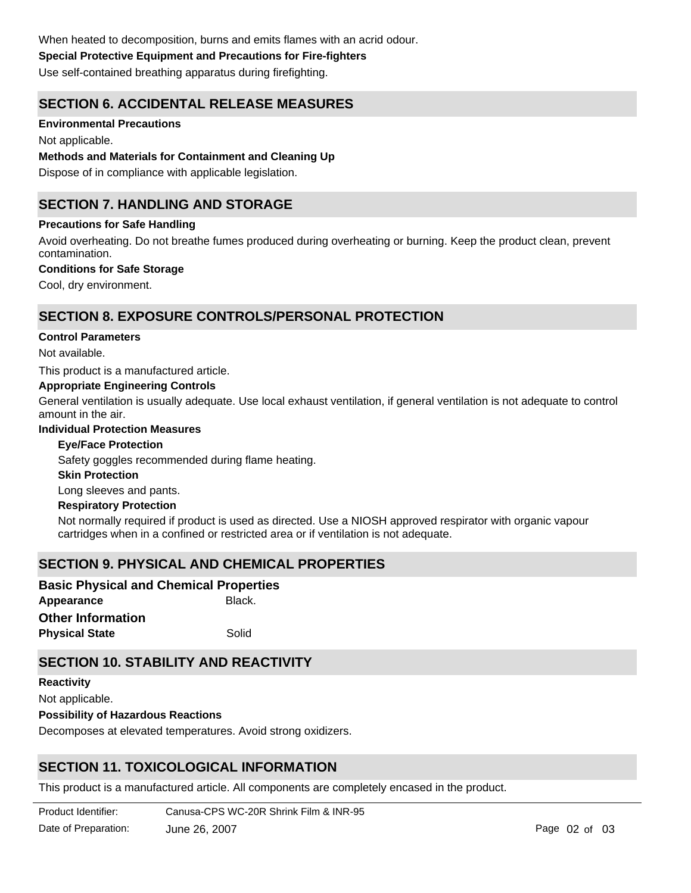## **Special Protective Equipment and Precautions for Fire-fighters**

Use self-contained breathing apparatus during firefighting.

# **SECTION 6. ACCIDENTAL RELEASE MEASURES**

## **Environmental Precautions**

Not applicable.

### **Methods and Materials for Containment and Cleaning Up**

Dispose of in compliance with applicable legislation.

# **SECTION 7. HANDLING AND STORAGE**

### **Precautions for Safe Handling**

Avoid overheating. Do not breathe fumes produced during overheating or burning. Keep the product clean, prevent contamination.

#### **Conditions for Safe Storage**

Cool, dry environment.

# **SECTION 8. EXPOSURE CONTROLS/PERSONAL PROTECTION**

#### **Control Parameters**

Not available.

This product is a manufactured article.

#### **Appropriate Engineering Controls**

General ventilation is usually adequate. Use local exhaust ventilation, if general ventilation is not adequate to control amount in the air.

## **Individual Protection Measures**

## **Eye/Face Protection**

Safety goggles recommended during flame heating.

#### **Skin Protection**

Long sleeves and pants.

#### **Respiratory Protection**

Not normally required if product is used as directed. Use a NIOSH approved respirator with organic vapour cartridges when in a confined or restricted area or if ventilation is not adequate.

# **SECTION 9. PHYSICAL AND CHEMICAL PROPERTIES**

| <b>Basic Physical and Chemical Properties</b> |        |  |
|-----------------------------------------------|--------|--|
| Appearance                                    | Black. |  |
| <b>Other Information</b>                      |        |  |
| <b>Physical State</b>                         | Solid  |  |

# **SECTION 10. STABILITY AND REACTIVITY**

**Possibility of Hazardous Reactions** Decomposes at elevated temperatures. Avoid strong oxidizers. **Reactivity** Not applicable.

# **SECTION 11. TOXICOLOGICAL INFORMATION**

This product is a manufactured article. All components are completely encased in the product.

**Product Identifier:** Date of Preparation: June 26, 2007 **Page 02 of 03** Canusa-CPS WC-20R Shrink Film & INR-95